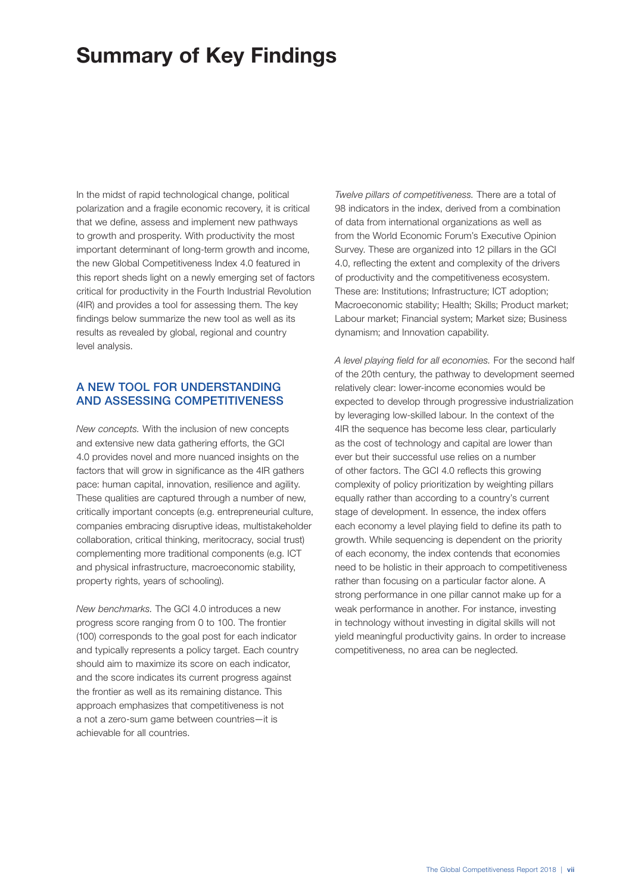# Summary of Key Findings

In the midst of rapid technological change, political polarization and a fragile economic recovery, it is critical that we define, assess and implement new pathways to growth and prosperity. With productivity the most important determinant of long-term growth and income, the new Global Competitiveness Index 4.0 featured in this report sheds light on a newly emerging set of factors critical for productivity in the Fourth Industrial Revolution (4IR) and provides a tool for assessing them. The key findings below summarize the new tool as well as its results as revealed by global, regional and country level analysis.

#### A NEW TOOL FOR UNDERSTANDING AND ASSESSING COMPETITIVENESS

*New concepts.* With the inclusion of new concepts and extensive new data gathering efforts, the GCI 4.0 provides novel and more nuanced insights on the factors that will grow in significance as the 4IR gathers pace: human capital, innovation, resilience and agility. These qualities are captured through a number of new, critically important concepts (e.g. entrepreneurial culture, companies embracing disruptive ideas, multistakeholder collaboration, critical thinking, meritocracy, social trust) complementing more traditional components (e.g. ICT and physical infrastructure, macroeconomic stability, property rights, years of schooling).

*New benchmarks.* The GCI 4.0 introduces a new progress score ranging from 0 to 100. The frontier (100) corresponds to the goal post for each indicator and typically represents a policy target. Each country should aim to maximize its score on each indicator, and the score indicates its current progress against the frontier as well as its remaining distance. This approach emphasizes that competitiveness is not a not a zero-sum game between countries—it is achievable for all countries.

*Twelve pillars of competitiveness.* There are a total of 98 indicators in the index, derived from a combination of data from international organizations as well as from the World Economic Forum's Executive Opinion Survey. These are organized into 12 pillars in the GCI 4.0, reflecting the extent and complexity of the drivers of productivity and the competitiveness ecosystem. These are: Institutions; Infrastructure; ICT adoption; Macroeconomic stability; Health; Skills; Product market; Labour market; Financial system; Market size; Business dynamism; and Innovation capability.

*A level playing field for all economies.* For the second half of the 20th century, the pathway to development seemed relatively clear: lower-income economies would be expected to develop through progressive industrialization by leveraging low-skilled labour. In the context of the 4IR the sequence has become less clear, particularly as the cost of technology and capital are lower than ever but their successful use relies on a number of other factors. The GCI 4.0 reflects this growing complexity of policy prioritization by weighting pillars equally rather than according to a country's current stage of development. In essence, the index offers each economy a level playing field to define its path to growth. While sequencing is dependent on the priority of each economy, the index contends that economies need to be holistic in their approach to competitiveness rather than focusing on a particular factor alone. A strong performance in one pillar cannot make up for a weak performance in another. For instance, investing in technology without investing in digital skills will not yield meaningful productivity gains. In order to increase competitiveness, no area can be neglected.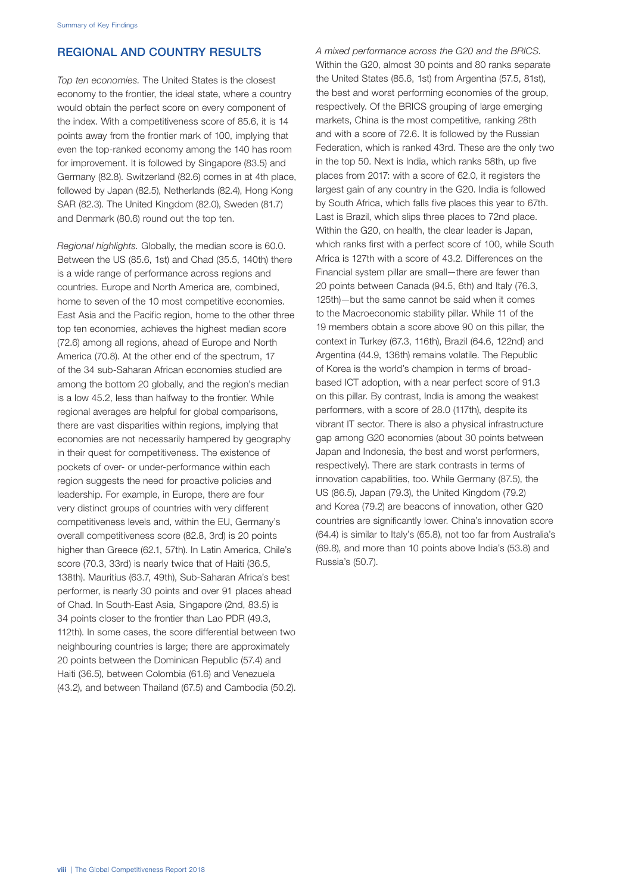## REGIONAL AND COUNTRY RESULTS

*Top ten economies.* The United States is the closest economy to the frontier, the ideal state, where a country would obtain the perfect score on every component of the index. With a competitiveness score of 85.6, it is 14 points away from the frontier mark of 100, implying that even the top-ranked economy among the 140 has room for improvement. It is followed by Singapore (83.5) and Germany (82.8). Switzerland (82.6) comes in at 4th place, followed by Japan (82.5), Netherlands (82.4), Hong Kong SAR (82.3). The United Kingdom (82.0), Sweden (81.7) and Denmark (80.6) round out the top ten.

*Regional highlights.* Globally, the median score is 60.0. Between the US (85.6, 1st) and Chad (35.5, 140th) there is a wide range of performance across regions and countries. Europe and North America are, combined, home to seven of the 10 most competitive economies. East Asia and the Pacific region, home to the other three top ten economies, achieves the highest median score (72.6) among all regions, ahead of Europe and North America (70.8). At the other end of the spectrum, 17 of the 34 sub-Saharan African economies studied are among the bottom 20 globally, and the region's median is a low 45.2, less than halfway to the frontier. While regional averages are helpful for global comparisons, there are vast disparities within regions, implying that economies are not necessarily hampered by geography in their quest for competitiveness. The existence of pockets of over- or under-performance within each region suggests the need for proactive policies and leadership. For example, in Europe, there are four very distinct groups of countries with very different competitiveness levels and, within the EU, Germany's overall competitiveness score (82.8, 3rd) is 20 points higher than Greece (62.1, 57th). In Latin America, Chile's score (70.3, 33rd) is nearly twice that of Haiti (36.5, 138th). Mauritius (63.7, 49th), Sub-Saharan Africa's best performer, is nearly 30 points and over 91 places ahead of Chad. In South-East Asia, Singapore (2nd, 83.5) is 34 points closer to the frontier than Lao PDR (49.3, 112th). In some cases, the score differential between two neighbouring countries is large; there are approximately 20 points between the Dominican Republic (57.4) and Haiti (36.5), between Colombia (61.6) and Venezuela (43.2), and between Thailand (67.5) and Cambodia (50.2). *A mixed performance across the G20 and the BRICS.* Within the G20, almost 30 points and 80 ranks separate the United States (85.6, 1st) from Argentina (57.5, 81st), the best and worst performing economies of the group, respectively. Of the BRICS grouping of large emerging markets, China is the most competitive, ranking 28th and with a score of 72.6. It is followed by the Russian Federation, which is ranked 43rd. These are the only two in the top 50. Next is India, which ranks 58th, up five places from 2017: with a score of 62.0, it registers the largest gain of any country in the G20. India is followed by South Africa, which falls five places this year to 67th. Last is Brazil, which slips three places to 72nd place. Within the G20, on health, the clear leader is Japan, which ranks first with a perfect score of 100, while South Africa is 127th with a score of 43.2. Differences on the Financial system pillar are small—there are fewer than 20 points between Canada (94.5, 6th) and Italy (76.3, 125th)—but the same cannot be said when it comes to the Macroeconomic stability pillar. While 11 of the 19 members obtain a score above 90 on this pillar, the context in Turkey (67.3, 116th), Brazil (64.6, 122nd) and Argentina (44.9, 136th) remains volatile. The Republic of Korea is the world's champion in terms of broadbased ICT adoption, with a near perfect score of 91.3 on this pillar. By contrast, India is among the weakest performers, with a score of 28.0 (117th), despite its vibrant IT sector. There is also a physical infrastructure gap among G20 economies (about 30 points between Japan and Indonesia, the best and worst performers, respectively). There are stark contrasts in terms of innovation capabilities, too. While Germany (87.5), the US (86.5), Japan (79.3), the United Kingdom (79.2) and Korea (79.2) are beacons of innovation, other G20 countries are significantly lower. China's innovation score (64.4) is similar to Italy's (65.8), not too far from Australia's (69.8), and more than 10 points above India's (53.8) and Russia's (50.7).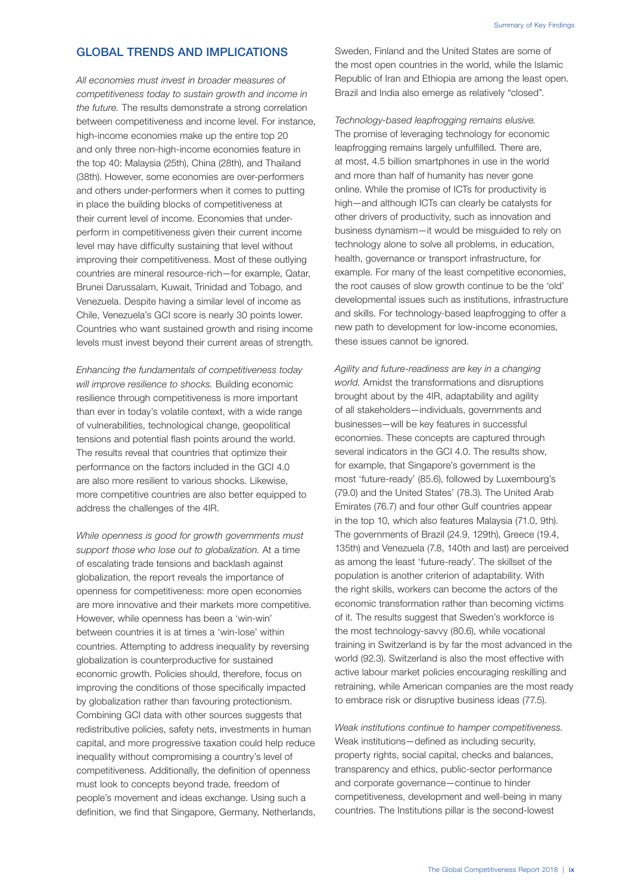### GLOBAL TRENDS AND IMPLICATIONS

*All economies must invest in broader measures of competitiveness today to sustain growth and income in the future.* The results demonstrate a strong correlation between competitiveness and income level. For instance, high-income economies make up the entire top 20 and only three non-high-income economies feature in the top 40: Malaysia (25th), China (28th), and Thailand (38th). However, some economies are over-performers and others under-performers when it comes to putting in place the building blocks of competitiveness at their current level of income. Economies that underperform in competitiveness given their current income level may have difficulty sustaining that level without improving their competitiveness. Most of these outlying countries are mineral resource-rich—for example, Qatar, Brunei Darussalam, Kuwait, Trinidad and Tobago, and Venezuela. Despite having a similar level of income as Chile, Venezuela's GCI score is nearly 30 points lower. Countries who want sustained growth and rising income levels must invest beyond their current areas of strength.

*Enhancing the fundamentals of competitiveness today will improve resilience to shocks.* Building economic resilience through competitiveness is more important than ever in today's volatile context, with a wide range of vulnerabilities, technological change, geopolitical tensions and potential flash points around the world. The results reveal that countries that optimize their performance on the factors included in the GCI 4.0 are also more resilient to various shocks. Likewise, more competitive countries are also better equipped to address the challenges of the 4IR.

*While openness is good for growth governments must support those who lose out to globalization.* At a time of escalating trade tensions and backlash against globalization, the report reveals the importance of openness for competitiveness: more open economies are more innovative and their markets more competitive. However, while openness has been a 'win-win' between countries it is at times a 'win-lose' within countries. Attempting to address inequality by reversing globalization is counterproductive for sustained economic growth. Policies should, therefore, focus on improving the conditions of those specifically impacted by globalization rather than favouring protectionism. Combining GCI data with other sources suggests that redistributive policies, safety nets, investments in human capital, and more progressive taxation could help reduce inequality without compromising a country's level of competitiveness. Additionally, the definition of openness must look to concepts beyond trade, freedom of people's movement and ideas exchange. Using such a definition, we find that Singapore, Germany, Netherlands, Sweden, Finland and the United States are some of the most open countries in the world, while the Islamic Republic of Iran and Ethiopia are among the least open. Brazil and India also emerge as relatively "closed".

*Technology-based leapfrogging remains elusive.* The promise of leveraging technology for economic leapfrogging remains largely unfulfilled. There are, at most, 4.5 billion smartphones in use in the world and more than half of humanity has never gone online. While the promise of ICTs for productivity is high—and although ICTs can clearly be catalysts for other drivers of productivity, such as innovation and business dynamism—it would be misguided to rely on technology alone to solve all problems, in education, health, governance or transport infrastructure, for example. For many of the least competitive economies, the root causes of slow growth continue to be the 'old' developmental issues such as institutions, infrastructure and skills. For technology-based leapfrogging to offer a new path to development for low-income economies, these issues cannot be ignored.

*Agility and future-readiness are key in a changing world.* Amidst the transformations and disruptions brought about by the 4IR, adaptability and agility of all stakeholders—individuals, governments and businesses—will be key features in successful economies. These concepts are captured through several indicators in the GCI 4.0. The results show, for example, that Singapore's government is the most 'future-ready' (85.6), followed by Luxembourg's (79.0) and the United States' (78.3). The United Arab Emirates (76.7) and four other Gulf countries appear in the top 10, which also features Malaysia (71.0, 9th). The governments of Brazil (24.9, 129th), Greece (19.4, 135th) and Venezuela (7.8, 140th and last) are perceived as among the least 'future-ready'. The skillset of the population is another criterion of adaptability. With the right skills, workers can become the actors of the economic transformation rather than becoming victims of it. The results suggest that Sweden's workforce is the most technology-savvy (80.6), while vocational training in Switzerland is by far the most advanced in the world (92.3). Switzerland is also the most effective with active labour market policies encouraging reskilling and retraining, while American companies are the most ready to embrace risk or disruptive business ideas (77.5).

*Weak institutions continue to hamper competitiveness.* Weak institutions—defined as including security, property rights, social capital, checks and balances, transparency and ethics, public-sector performance and corporate governance—continue to hinder competitiveness, development and well-being in many countries. The Institutions pillar is the second-lowest